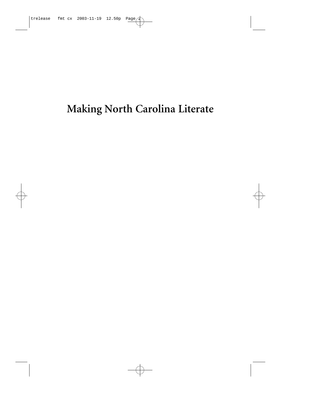# **Making North Carolina Literate**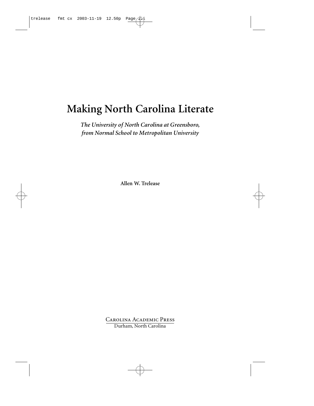# **Making North Carolina Literate**

*The University of North Carolina at Greensboro, from Normal School to Metropolitan University*

**Allen W. Trelease**

Carolina Academic Press Durham, North Carolina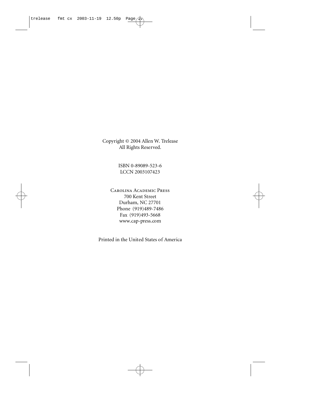Copyright © 2004 Allen W. Trelease All Rights Reserved.

> ISBN 0-89089-523-6 LCCN 2003107423

Carolina Academic Press 700 Kent Street Durham, NC 27701 Phone (919)489-7486 Fax (919)493-5668 www.cap-press.com

Printed in the United States of America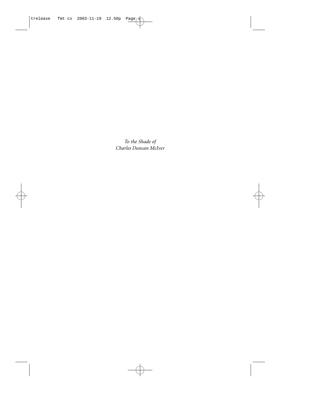*To the Shade of Charles Duncan McIver*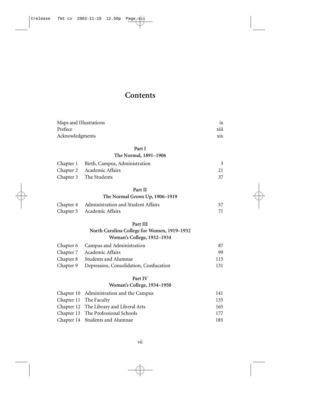### **Contents**

| Maps and Illustrations<br>Preface |                                             | ix<br>xiii |
|-----------------------------------|---------------------------------------------|------------|
| Acknowledgments                   |                                             | xix        |
|                                   |                                             |            |
|                                   | Part I                                      |            |
|                                   | The Normal, 1891-1906                       |            |
| Chapter 1                         | Birth, Campus, Administration               | 3          |
| Chapter 2                         | Academic Affairs                            | 21         |
| Chapter 3                         | The Students                                | 37         |
|                                   | Part II                                     |            |
|                                   | The Normal Grows Up, 1906-1919              |            |
| Chapter 4                         | Administration and Student Affairs          | 57         |
| Chapter 5                         | Academic Affairs                            | 71         |
|                                   | Part III                                    |            |
|                                   | North Carolina College for Women, 1919-1932 |            |
|                                   | Woman's College, 1932-1934                  |            |
| Chapter 6                         | Campus and Administration                   | 87         |
| Chapter 7                         | Academic Affairs                            | 99         |
| Chapter 8                         | Students and Alumnae                        | 115        |
| Chapter 9                         | Depression, Consolidation, Coeducation      | 131        |
|                                   | Part IV                                     |            |
|                                   | Woman's College, 1934-1950                  |            |
|                                   | $\Omega$ $(10, 10, 11, 11, 11, 0)$          | 1 4 1      |

| Chapter 10 Administration and the Campus | 141  |
|------------------------------------------|------|
| Chapter 11 The Faculty                   | 155  |
| Chapter 12 The Library and Liberal Arts  | 165  |
| Chapter 13 The Professional Schools      | 177  |
| Chapter 14 Students and Alumnae          | 185. |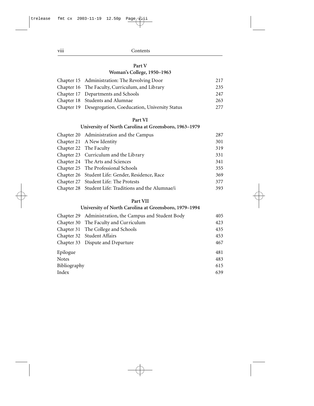viii Contents

#### **Part V**

#### **Woman's College, 1950–1963**

| Chapter 15 Administration: The Revolving Door            | 217 |
|----------------------------------------------------------|-----|
| Chapter 16 The Faculty, Curriculum, and Library          | 235 |
| Chapter 17 Departments and Schools                       | 247 |
| Chapter 18 Students and Alumnae                          | 263 |
| Chapter 19 Desegregation, Coeducation, University Status | 277 |

#### **Part VI**

#### **University of North Carolina at Greensboro, 1963–1979**

| Chapter 20 Administration and the Campus              | 287 |
|-------------------------------------------------------|-----|
| Chapter 21 A New Identity                             | 301 |
| Chapter 22 The Faculty                                | 319 |
| Chapter 23 Curriculum and the Library                 | 331 |
| Chapter 24 The Arts and Sciences                      | 341 |
| Chapter 25 The Professional Schools                   | 355 |
| Chapter 26 Student Life: Gender, Residence, Race      | 369 |
| Chapter 27 Student Life: The Protests                 | 377 |
| Chapter 28 Student Life: Traditions and the Alumnae/i | 393 |

#### **Part VII**

#### **University of North Carolina at Greensboro, 1979–1994**

|              | Chapter 29 Administration, the Campus and Student Body | 405 |
|--------------|--------------------------------------------------------|-----|
|              | Chapter 30 The Faculty and Curriculum                  | 423 |
|              | Chapter 31 The College and Schools                     | 435 |
|              | Chapter 32 Student Affairs                             | 453 |
|              | Chapter 33 Dispute and Departure                       | 467 |
| Epilogue     |                                                        | 481 |
| Notes        |                                                        | 483 |
| Bibliography |                                                        | 615 |
| Index        |                                                        | 639 |
|              |                                                        |     |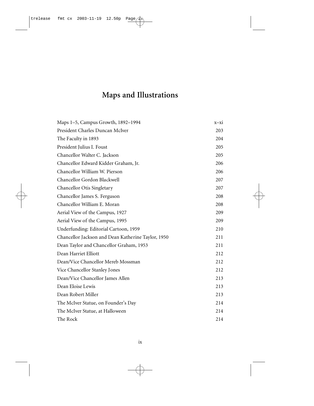## **Maps and Illustrations**

| Maps 1-5, Campus Growth, 1892-1994                 | $X - X1$ |
|----------------------------------------------------|----------|
| President Charles Duncan McIver                    | 203      |
| The Faculty in 1893                                | 204      |
| President Julius I. Foust                          | 205      |
| Chancellor Walter C. Jackson                       | 205      |
| Chancellor Edward Kidder Graham, Jr.               | 206      |
| Chancellor William W. Pierson                      | 206      |
| Chancellor Gordon Blackwell                        | 207      |
| Chancellor Otis Singletary                         | 207      |
| Chancellor James S. Ferguson                       | 208      |
| Chancellor William E. Moran                        | 208      |
| Aerial View of the Campus, 1927                    | 209      |
| Aerial View of the Campus, 1995                    | 209      |
| Underfunding: Editorial Cartoon, 1959              | 210      |
| Chancellor Jackson and Dean Katherine Taylor, 1950 | 211      |
| Dean Taylor and Chancellor Graham, 1953            | 211      |
| Dean Harriet Elliott                               | 212      |
| Dean/Vice Chancellor Mereb Mossman                 | 212      |
| Vice Chancellor Stanley Jones                      | 212      |
| Dean/Vice Chancellor James Allen                   | 213      |
| Dean Eloise Lewis                                  | 213      |
| Dean Robert Miller                                 | 213      |
| The McIver Statue, on Founder's Day                | 214      |
| The McIver Statue, at Halloween                    | 214      |
| The Rock                                           | 214      |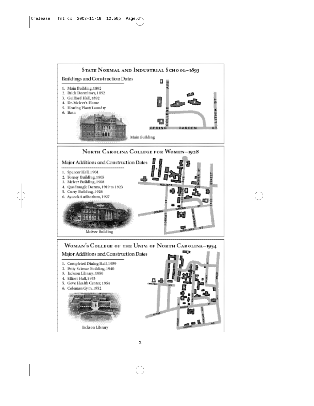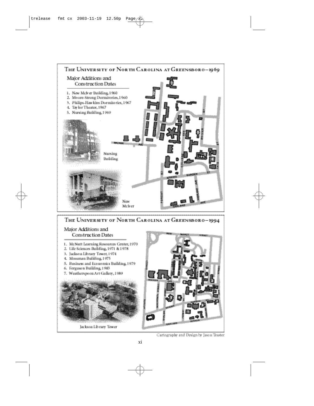





Cartography and Design by Jason Teaster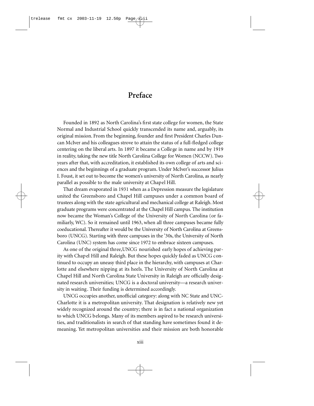### **Preface**

Founded in 1892 as North Carolina's first state college for women, the State Normal and Industrial School quickly transcended its name and, arguably, its original mission. From the beginning, founder and first President Charles Duncan McIver and his colleagues strove to attain the status of a full-fledged college centering on the liberal arts. In 1897 it became a College in name and by 1919 in reality, taking the new title North Carolina College for Women (NCCW). Two years after that, with accreditation, it established its own college of arts and sciences and the beginnings of a graduate program. Under McIver's successor Julius I. Foust, it set out to become the women's university of North Carolina, as nearly parallel as possible to the male university at Chapel Hill.

That dream evaporated in 1931 when as a Depression measure the legislature united the Greensboro and Chapel Hill campuses under a common board of trustees along with the state agricultural and mechanical college at Raleigh. Most graduate programs were concentrated at the Chapel Hill campus. The institution now became the Woman's College of the University of North Carolina (or familiarly, WC). So it remained until 1963, when all three campuses became fully coeducational. Thereafter it would be the University of North Carolina at Greensboro (UNCG). Starting with three campuses in the '30s, the University of North Carolina (UNC) system has come since 1972 to embrace sixteen campuses.

As one of the original three,UNCG nourished early hopes of achieving parity with Chapel Hill and Raleigh. But these hopes quickly faded as UNCG continued to occupy an uneasy third place in the hierarchy, with campuses at Charlotte and elsewhere nipping at its heels. The University of North Carolina at Chapel Hill and North Carolina State University in Raleigh are officially designated research universities; UNCG is a doctoral university—a research university in waiting. Their funding is determined accordingly.

UNCG occupies another, unofficial category: along with NC State and UNC-Charlotte it is a metropolitan university. That designation is relatively new yet widely recognized around the country; there is in fact a national organization to which UNCG belongs. Many of its members aspired to be research universities, and traditionalists in search of that standing have sometimes found it demeaning. Yet metropolitan universities and their mission are both honorable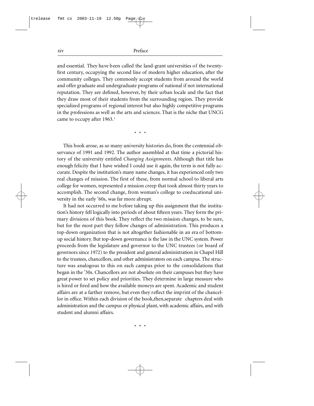xiv Preface

and essential. They have been called the land-grant universities of the twentyfirst century, occupying the second line of modern higher education, after the community colleges. They commonly accept students from around the world and offer graduate and undergraduate programs of national if not international reputation. They are defined, however, by their urban locale and the fact that they draw most of their students from the surrounding region. They provide specialized programs of regional interest but also highly competitive programs in the professions as well as the arts and sciences. That is the niche that UNCG came to occupy after 1963.<sup>1</sup>

\* \* \*

This book arose, as so many university histories do, from the centennial observance of 1991 and 1992. The author assembled at that time a pictorial history of the university entitled *Changing Assignments*. Although that title has enough felicity that I have wished I could use it again, the term is not fully accurate. Despite the institution's many name changes, it has experienced only two real changes of mission. The first of these, from normal school to liberal arts college for women, represented a mission creep that took almost thirty years to accomplish. The second change, from woman's college to coeducational university in the early '60s, was far more abrupt.

It had not occurred to me before taking up this assignment that the institution's history fell logically into periods of about fifteen years. They form the primary divisions of this book. They reflect the two mission changes, to be sure, but for the most part they follow changes of administration. This produces a top-down organization that is not altogether fashionable in an era of bottomup social history. But top-down governance is the law in the UNC system. Power proceeds from the legislature and governor to the UNC trustees (or board of governors since 1972) to the president and general administration in Chapel Hill to the trustees, chancellors, and other administrators on each campus. The structure was analogous to this on each campus prior to the consolidations that began in the '30s. Chancellors are not absolute on their campuses but they have great power to set policy and priorities. They determine in large measure who is hired or fired and how the available moneys are spent. Academic and student affairs are at a farther remove, but even they reflect the imprint of the chancellor in office. Within each division of the book,then,separate chapters deal with administration and the campus or physical plant, with academic affairs, and with student and alumni affairs.

\* \* \*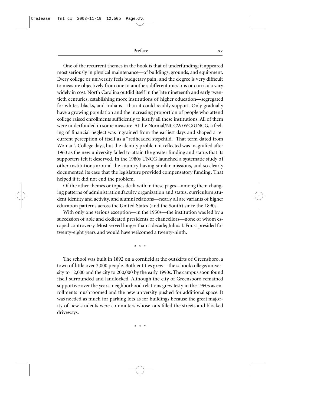Preface xv

One of the recurrent themes in the book is that of underfunding; it appeared most seriously in physical maintenance—of buildings, grounds, and equipment. Every college or university feels budgetary pain, and the degree is very difficult to measure objectively from one to another; different missions or curricula vary widely in cost. North Carolina outdid itself in the late nineteenth and early twentieth centuries, establishing more institutions of higher education—segregated for whites, blacks, and Indians—than it could readily support. Only gradually have a growing population and the increasing proportion of people who attend college raised enrollments sufficiently to justify all these institutions. All of them were underfunded in some measure. At the Normal/NCCW/WC/UNCG, a feeling of financial neglect was ingrained from the earliest days and shaped a recurrent perception of itself as a "redheaded stepchild." That term dated from Woman's College days, but the identity problem it reflected was magnified after 1963 as the new university failed to attain the greater funding and status that its supporters felt it deserved. In the 1980s UNCG launched a systematic study of o the institutions around the country having similar missions, and so clearly documented its case that the legislature provided compensatory funding. That helped if it did not end the problem.

Of the other themes or topics dealt with in these pages—among them changing patterns of administration, faculty organization and status, curriculum, student identity and activity, and alumni relations—nearly all are variants of higher education patterns across the United States (and the South) since the 1890s.

With only one serious exception—in the 1950s—the institution was led by a succession of able and dedicated presidents or chancellors—none of whom escaped controversy. Most served longer than a decade; Julius I. Foust presided for twenty-eight years and would have welcomed a twenty-ninth.

\* \* \*

The school was built in 1892 on a cornfield at the outskirts of Greensboro, a town of little over 3,000 people. Both entities grew—the school/college/university to 12,000 and the city to 200,000 by the early 1990s. The campus soon found itself surrounded and landlocked. Although the city of Greensboro remained supportive over the years, neighborhood relations grew testy in the 1960s as enrollments mushroomed and the new university pushed for additional space. It was needed as much for parking lots as for buildings because the great majority of new students were commuters whose cars filled the streets and blocked driveways.

\* \* \*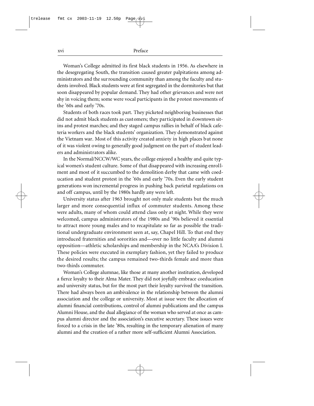xvi Preface

Woman's College admitted its first black students in 1956. As elsewhere in the desegregating South, the transition caused greater palpitations among administrators and the surrounding community than among the faculty and students involved. Black students were at first segregated in the dormitories but that soon disappeared by popular demand. They had other grievances and were not shy in voicing them; some were vocal participants in the protest movements of the '60s and early '70s.

Students of both races took part. They picketed neighboring businesses that did not admit black students as customers; they participated in downtown sitins and protest marches; and they staged campus rallies in behalf of black cafeteria workers and the black students' organization. They demonstrated against the Vietnam war. Most of this activity created anxiety in high places but none of it was violent owing to generally good judgment on the part of student leaders and administrators alike.

In the Normal/NCCW/WC years, the college enjoyed a healthy and quite typical women's student culture. Some of that disappeared with increasing enrollment and most of it succumbed to the demolition derby that came with coeducation and student protest in the '60s and early '70s. Even the early student generations won incremental progress in pushing back parietal regulations on and off campus, until by the 1980s hardly any were left.

University status after 1963 brought not only male students but the much larger and more consequential influx of commuter students. Among these were adults, many of whom could attend class only at night. While they were welcomed, campus administrators of the 1980s and '90s believed it essential to attract more young males and to recapitulate so far as possible the traditional undergraduate environment seen at, say, Chapel Hill. To that end they introduced fraternities and sororities and—over no little faculty and alumni opposition—athletic scholarships and membership in the NCAA's Division I. These policies were executed in exemplary fashion, yet they failed to produce the desired results; the campus remained two-thirds female and more than two-thirds commuter.

Woman's College alumnae, like those at many another institution, developed a fierce loyalty to their Alma Mater. They did not joyfully embrace coeducation and university status, but for the most part their loyalty survived the transition. There had always been an ambivalence in the relationship between the alumni association and the college or university. Most at issue were the allocation of a lumni financial contributions, control of a lumni publications and the campus Alumni House, and the dual allegiance of the woman who served at once as campus alumni director and the association's executive secretary. These issues were forced to a crisis in the late '80s, resulting in the temporary alienation of many alumni and the creation of a rather more self-sufficient Alumni Association.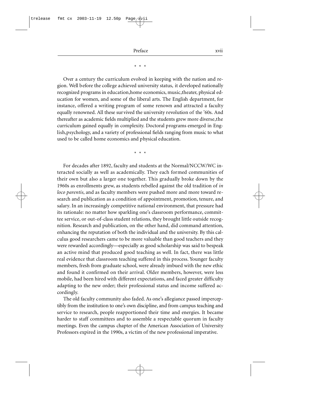Preface xvii

#### \* \* \*

Over a century the curriculum evolved in keeping with the nation and region. Well before the college achieved university status, it developed nationally recognized programs in education, home economics, music, theater, physical education for women, and some of the liberal arts. The English department, for in stance, offered a writing program of some renown and attracted a faculty equally renowned. All these survived the university revolution of the '60s. And thereafter as academic fields multiplied and the students grew more diverse,the curriculum gained equally in complexity. Doctoral programs emerged in English, psychology, and a variety of professional fields ranging from music to what used to be called home economics and physical education.

\* \* \*

For decades after 1892, faculty and students at the Normal/NCCW/WC interacted socially as well as academically. They each formed communities of their own but also a larger one together. This gradually broke down by the 1960s as enrollments grew, as students rebelled against the old tradition of *in loco parentis*, and as faculty members were pushed more and more toward research and publication as a condition of appointment, promotion, tenure, and salary. In an increasingly competitive national environment, that pressure had its rationale: no matter how sparkling one's classroom performance, committee service, or out-of-class student relations, they brought little outside recognition. Research and publication, on the other hand, did command attention, enhancing the reputation of both the individual and the university. By this calculus good researchers came to be more valuable than good teachers and they were rewarded accordingly—especially as good scholarship was said to be speak an active mind that produced good teaching as well. In fact, there was little real evidence that classroom teaching suffered in this process. Younger faculty members, fresh from graduate school, were already imbued with the new ethic and found it confirmed on their arrival. Older members, however, were less mobile, had been hired with different expectations, and faced greater difficulty adapting to the new order; their professional status and income suffered accordingly.

The old faculty community also faded. As one's allegiance passed imperceptibly from the institution to one's own discipline, and from campus teaching and service to research, people reapportioned their time and energies. It became harder to staff committees and to assemble a respectable quorum in faculty meetings. Even the campus chapter of the American Association of University Professors expired in the 1990s, a victim of the new professional imperative.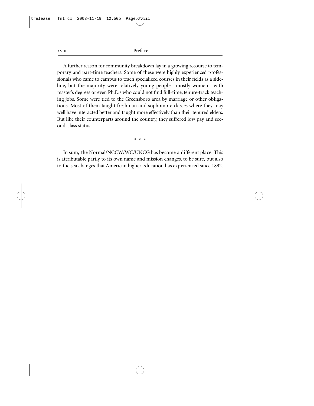#### xviii Preface

A further reason for community breakdown lay in a growing recourse to temporary and part-time teachers. Some of these were highly experienced professionals who came to campus to teach specialized courses in their fields as a sideline, but the majority were relatively young people—mostly women—with master's degrees or even Ph.D.s who could not find full-time, tenure-track teaching jobs. Some were tied to the Greensboro area by marriage or other obligations. Most of them taught freshman and sophomore classes where they may well have interacted better and taught more effectively than their tenured elders. But like their counterparts around the country, they suffered low pay and second-class status.

\* \* \*

In sum, the Normal/NCCW/WC/UNCG has become a different place. This is attributable partly to its own name and mission changes, to be sure, but also to the sea changes that American higher education has experienced since 1892.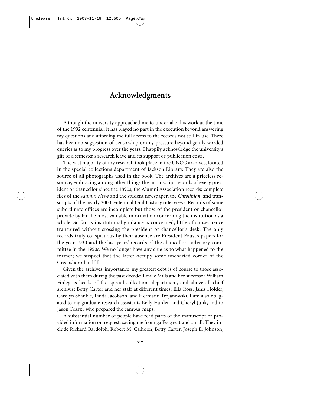#### **Acknowledgments**

Although the university approached me to undertake this work at the time of the 1992 centennial, it has played no part in the execution beyond answering my questions and affording me full access to the records not still in use. There has been no suggestion of censorship or any pressure beyond gently worded queries as to my progress over the years. I happily acknowledge the university's gift of a semester's research leave and its support of publication costs.

The vast majority of my research took place in the UNCG archives, located in the special collections department of Jackson Library. They are also the source of all photographs used in the book. The archives are a priceless resource, embracing among other things the manuscript records of every president or chancellor since the 1890s; the Alumni Association records; complete files of the *Alumni News* and the student newspaper, the *Carolinian*; and transcripts of the nearly 200 Centennial Oral History interviews. Records of some subordinate offices are incomplete but those of the president or chancellor provide by far the most valuable information concerning the institution as a whole. So far as institutional guidance is concerned, little of consequence transpired without crossing the president or chancellor's desk. The only records truly conspicuous by their absence are President Foust's papers for the year 1930 and the last years' records of the chancellor's advisory committee in the 1950s. We no longer have any clue as to what happened to the former; we suspect that the latter occupy some uncharted corner of the Greensboro landfill.

Given the archives' importance, my greatest debt is of course to those associated with them during the past decade: Emilie Mills and her successor William Finley as heads of the special collections department, and above all chief archivist Betty Carter and her staff at different times: Ella Ross, Janis Holder, Carolyn Shankle, Linda Jacobson, and Hermann Trojanowski. I am also obligated to my graduate research assistants Kelly Harden and Cheryl Junk, and to Jason Teaster who prepared the campus maps.

A substantial number of people have read parts of the manuscript or provided information on request, saving me from gaffes great and small. They include Richard Bardolph, Robert M. Calhoon, Betty Carter, Joseph E. Johnson,